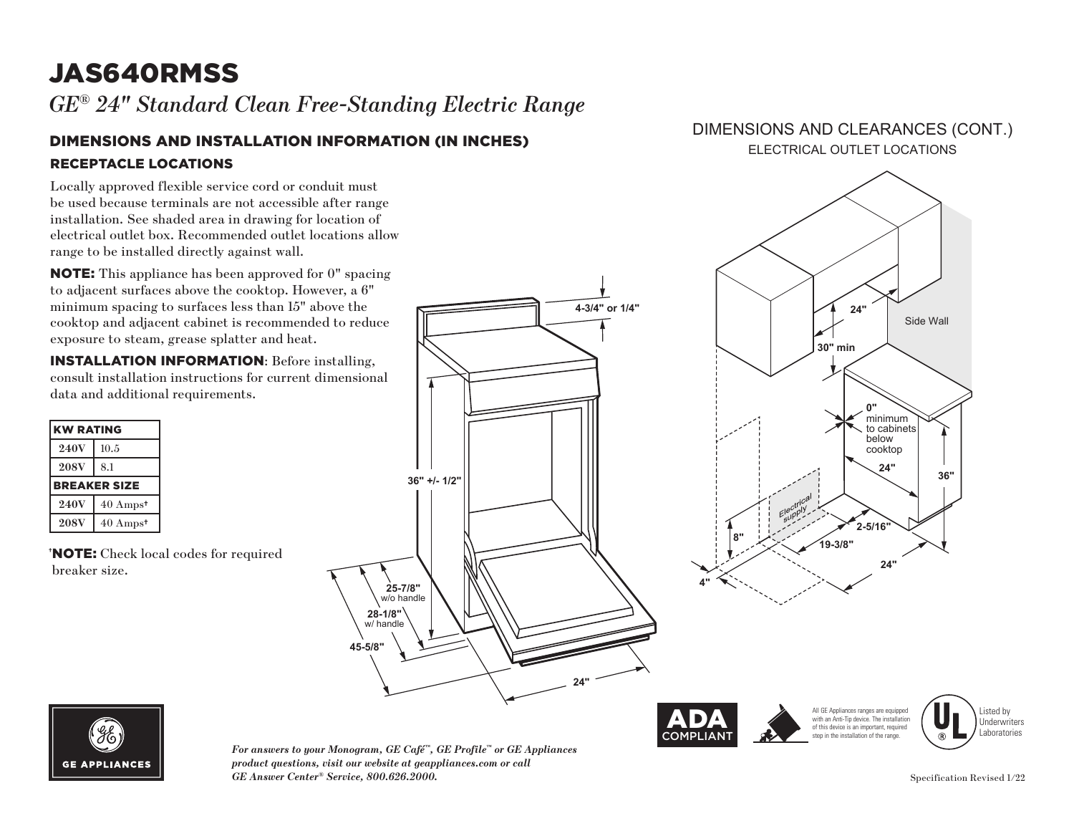# JAS640RMSS

*GE® 24" Standard Clean Free-Standing Electric Range* 

### DIMENSIONS AND INSTALLATION INFORMATION (IN INCHES) RECEPTACLE LOCATIONS

Locally approved flexible service cord or conduit must be used because terminals are not accessible after range installation. See shaded area in drawing for location of electrical outlet box. Recommended outlet locations allow range to be installed directly against wall.

NOTE: This appliance has been approved for 0" spacing to adjacent surfaces above the cooktop. However, a 6" minimum spacing to surfaces less than 15" above the cooktop and adjacent cabinet is recommended to reduce exposure to steam, grease splatter and heat.

INSTALLATION INFORMATION: Before installing, consult installation instructions for current dimensional data and additional requirements.

| <b>KW RATING</b>    |                     |
|---------------------|---------------------|
| <b>240V</b>         | 10.5                |
| <b>208V</b>         | 8.1                 |
| <b>BREAKER SIZE</b> |                     |
| <b>240V</b>         | $40 \text{ Amps}^*$ |
|                     |                     |

† NOTE: Check local codes for required breaker size.



#### DIMENSIONS AND CLEARANCES (CONT.) ELECTRICAL OUTLET LOCATIONS





*For answers to your Monogram, GE Café™, GE Profile™ or GE Appliances product questions, visit our website at geappliances.com or call GE Answer Center® Service, 800.626.2000.* Specification Revised 1/22

with an Anti-Tip device. The installation of this device is an important, required stop in the installation of the range Underwriters Laboratories

All GE Appliances ranges are equipped

Listed by